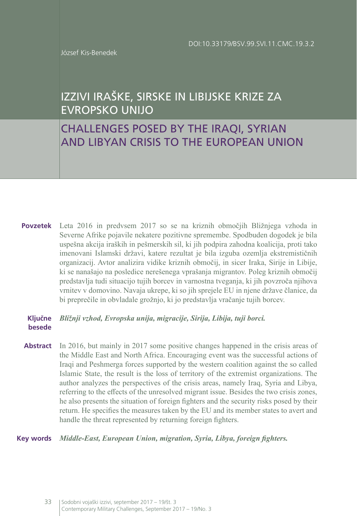József Kis-Benedek

# IZZIVI IRAŠKE, SIRSKE IN LIBIJSKE KRIZE ZA EVROPSKO UNIJO

# CHALLENGES POSED BY THE IRAQI, SYRIAN AND LIBYAN CRISIS TO THE EUROPEAN UNION

Leta 2016 in predvsem 2017 so se na kriznih območjih Bližnjega vzhoda in **Povzetek** Severne Afrike pojavile nekatere pozitivne spremembe. Spodbuden dogodek je bila uspešna akcija iraških in pešmerskih sil, ki jih podpira zahodna koalicija, proti tako imenovani Islamski državi, katere rezultat je bila izguba ozemlja ekstremističnih organizacij. Avtor analizira vidike kriznih območij, in sicer Iraka, Sirije in Libije, ki se nanašajo na posledice nerešenega vprašanja migrantov. Poleg kriznih območij predstavlja tudi situacijo tujih borcev in varnostna tveganja, ki jih povzroča njihova vrnitev v domovino. Navaja ukrepe, ki so jih sprejele EU in njene države članice, da bi preprečile in obvladale grožnjo, ki jo predstavlja vračanje tujih borcev.

#### *Bližnji vzhod, Evropska unija, migracije, Sirija, Libija, tuji borci.* **Ključne besede**

**Abstract** In 2016, but mainly in 2017 some positive changes happened in the crisis areas of the Middle East and North Africa. Encouraging event was the successful actions of Iraqi and Peshmerga forces supported by the western coalition against the so called Islamic State, the result is the loss of territory of the extremist organizations. The author analyzes the perspectives of the crisis areas, namely Iraq, Syria and Libya, referring to the effects of the unresolved migrant issue. Besides the two crisis zones, he also presents the situation of foreign fighters and the security risks posed by their return. He specifies the measures taken by the EU and its member states to avert and handle the threat represented by returning foreign fighters.

#### *Middle-East, European Union, migration, Syria, Libya, foreign fighters.* **Key words**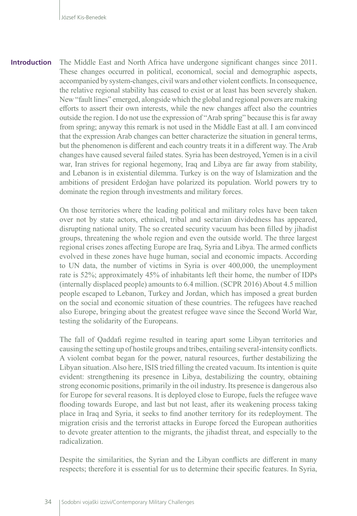The Middle East and North Africa have undergone significant changes since 2011. These changes occurred in political, economical, social and demographic aspects, accompanied by system-changes, civil wars and other violent conflicts. In consequence, the relative regional stability has ceased to exist or at least has been severely shaken. New "fault lines" emerged, alongside which the global and regional powers are making efforts to assert their own interests, while the new changes affect also the countries outside the region. I do not use the expression of "Arab spring" because this is far away from spring; anyway this remark is not used in the Middle East at all. I am convinced that the expression Arab changes can better characterize the situation in general terms, but the phenomenon is different and each country treats it in a different way. The Arab changes have caused several failed states. Syria has been destroyed, Yemen is in a civil war, Iran strives for regional hegemony, Iraq and Libya are far away from stability, and Lebanon is in existential dilemma. Turkey is on the way of Islamization and the ambitions of president Erdoǧan have polarized its population. World powers try to dominate the region through investments and military forces. **Introduction**

> On those territories where the leading political and military roles have been taken over not by state actors, ethnical, tribal and sectarian dividedness has appeared, disrupting national unity. The so created security vacuum has been filled by jihadist groups, threatening the whole region and even the outside world. The three largest regional crises zones affecting Europe are Iraq, Syria and Libya. The armed conflicts evolved in these zones have huge human, social and economic impacts. According to UN data, the number of victims in Syria is over 400,000, the unemployment rate is 52%; approximately 45% of inhabitants left their home, the number of IDPs (internally displaced people) amounts to 6.4 million. (SCPR 2016) About 4.5 million people escaped to Lebanon, Turkey and Jordan, which has imposed a great burden on the social and economic situation of these countries. The refugees have reached also Europe, bringing about the greatest refugee wave since the Second World War, testing the solidarity of the Europeans.

> The fall of Qaddafi regime resulted in tearing apart some Libyan territories and causing the setting up of hostile groups and tribes, entailing several-intensity conflicts. A violent combat began for the power, natural resources, further destabilizing the Libyan situation. Also here, ISIS tried filling the created vacuum. Its intention is quite evident: strengthening its presence in Libya, destabilizing the country, obtaining strong economic positions, primarily in the oil industry. Its presence is dangerous also for Europe for several reasons. It is deployed close to Europe, fuels the refugee wave flooding towards Europe, and last but not least, after its weakening process taking place in Iraq and Syria, it seeks to find another territory for its redeployment. The migration crisis and the terrorist attacks in Europe forced the European authorities to devote greater attention to the migrants, the jihadist threat, and especially to the radicalization.

> Despite the similarities, the Syrian and the Libyan conflicts are different in many respects; therefore it is essential for us to determine their specific features. In Syria,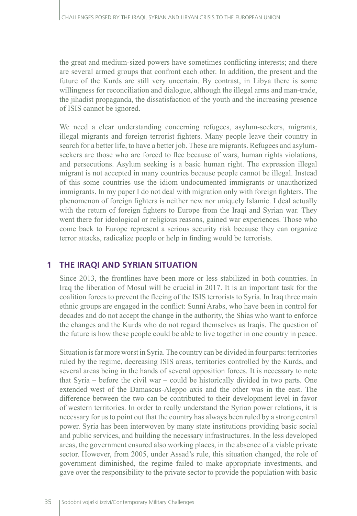the great and medium-sized powers have sometimes conflicting interests; and there are several armed groups that confront each other. In addition, the present and the future of the Kurds are still very uncertain. By contrast, in Libya there is some willingness for reconciliation and dialogue, although the illegal arms and man-trade, the jihadist propaganda, the dissatisfaction of the youth and the increasing presence of ISIS cannot be ignored.

We need a clear understanding concerning refugees, asylum-seekers, migrants, illegal migrants and foreign terrorist fighters. Many people leave their country in search for a better life, to have a better job. These are migrants. Refugees and asylumseekers are those who are forced to flee because of wars, human rights violations, and persecutions. Asylum seeking is a basic human right. The expression illegal migrant is not accepted in many countries because people cannot be illegal. Instead of this some countries use the idiom undocumented immigrants or unauthorized immigrants. In my paper I do not deal with migration only with foreign fighters. The phenomenon of foreign fighters is neither new nor uniquely Islamic. I deal actually with the return of foreign fighters to Europe from the Iraqi and Syrian war. They went there for ideological or religious reasons, gained war experiences. Those who come back to Europe represent a serious security risk because they can organize terror attacks, radicalize people or help in finding would be terrorists.

### **1 THE IRAQI AND SYRIAN SITUATION**

Since 2013, the frontlines have been more or less stabilized in both countries. In Iraq the liberation of Mosul will be crucial in 2017. It is an important task for the coalition forces to prevent the fleeing of the ISIS terrorists to Syria. In Iraq three main ethnic groups are engaged in the conflict: Sunni Arabs, who have been in control for decades and do not accept the change in the authority, the Shias who want to enforce the changes and the Kurds who do not regard themselves as Iraqis. The question of the future is how these people could be able to live together in one country in peace.

Situation is far more worst in Syria. The country can be divided in four parts: territories ruled by the regime, decreasing ISIS areas, territories controlled by the Kurds, and several areas being in the hands of several opposition forces. It is necessary to note that Syria – before the civil war – could be historically divided in two parts. One extended west of the Damascus-Aleppo axis and the other was in the east. The difference between the two can be contributed to their development level in favor of western territories. In order to really understand the Syrian power relations, it is necessary for us to point out that the country has always been ruled by a strong central power. Syria has been interwoven by many state institutions providing basic social and public services, and building the necessary infrastructures. In the less developed areas, the government ensured also working places, in the absence of a viable private sector. However, from 2005, under Assad's rule, this situation changed, the role of government diminished, the regime failed to make appropriate investments, and gave over the responsibility to the private sector to provide the population with basic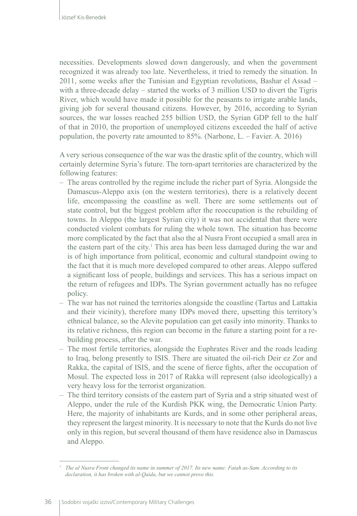necessities. Developments slowed down dangerously, and when the government recognized it was already too late. Nevertheless, it tried to remedy the situation. In 2011, some weeks after the Tunisian and Egyptian revolutions, Bashar el Assad – with a three-decade delay – started the works of 3 million USD to divert the Tigris River, which would have made it possible for the peasants to irrigate arable lands, giving job for several thousand citizens. However, by 2016, according to Syrian sources, the war losses reached 255 billion USD, the Syrian GDP fell to the half of that in 2010, the proportion of unemployed citizens exceeded the half of active population, the poverty rate amounted to 85%. (Narbone, L. – Favier. A. 2016)

A very serious consequence of the war was the drastic split of the country, which will certainly determine Syria's future. The torn-apart territories are characterized by the following features:

- The areas controlled by the regime include the richer part of Syria. Alongside the Damascus-Aleppo axis (on the western territories), there is a relatively decent life, encompassing the coastline as well. There are some settlements out of state control, but the biggest problem after the reoccupation is the rebuilding of towns. In Aleppo (the largest Syrian city) it was not accidental that there were conducted violent combats for ruling the whole town. The situation has become more complicated by the fact that also the al Nusra Front occupied a small area in the eastern part of the city.<sup>1</sup> This area has been less damaged during the war and is of high importance from political, economic and cultural standpoint owing to the fact that it is much more developed compared to other areas. Aleppo suffered a significant loss of people, buildings and services. This has a serious impact on the return of refugees and IDPs. The Syrian government actually has no refugee policy.
- The war has not ruined the territories alongside the coastline (Tartus and Lattakia and their vicinity), therefore many IDPs moved there, upsetting this territory's ethnical balance, so the Alevite population can get easily into minority. Thanks to its relative richness, this region can become in the future a starting point for a rebuilding process, after the war.
- The most fertile territories, alongside the Euphrates River and the roads leading to Iraq, belong presently to ISIS. There are situated the oil-rich Deir ez Zor and Rakka, the capital of ISIS, and the scene of fierce fights, after the occupation of Mosul. The expected loss in 2017 of Rakka will represent (also ideologically) a very heavy loss for the terrorist organization.
- The third territory consists of the eastern part of Syria and a strip situated west of Aleppo, under the rule of the Kurdish PKK wing, the Democratic Union Party. Here, the majority of inhabitants are Kurds, and in some other peripheral areas, they represent the largest minority. It is necessary to note that the Kurds do not live only in this region, but several thousand of them have residence also in Damascus and Aleppo.

*<sup>1</sup> The al Nusra Front changed its name in summer of 2017. Its new name: Fatah as-Sam. According to its declaration, it has broken with al-Qaida, but we cannot prove this.*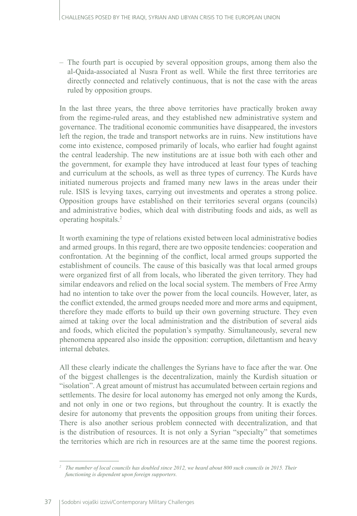– The fourth part is occupied by several opposition groups, among them also the al-Qaida-associated al Nusra Front as well. While the first three territories are directly connected and relatively continuous, that is not the case with the areas ruled by opposition groups.

In the last three years, the three above territories have practically broken away from the regime-ruled areas, and they established new administrative system and governance. The traditional economic communities have disappeared, the investors left the region, the trade and transport networks are in ruins. New institutions have come into existence, composed primarily of locals, who earlier had fought against the central leadership. The new institutions are at issue both with each other and the government, for example they have introduced at least four types of teaching and curriculum at the schools, as well as three types of currency. The Kurds have initiated numerous projects and framed many new laws in the areas under their rule. ISIS is levying taxes, carrying out investments and operates a strong police. Opposition groups have established on their territories several organs (councils) and administrative bodies, which deal with distributing foods and aids, as well as operating hospitals.2

It worth examining the type of relations existed between local administrative bodies and armed groups. In this regard, there are two opposite tendencies: cooperation and confrontation. At the beginning of the conflict, local armed groups supported the establishment of councils. The cause of this basically was that local armed groups were organized first of all from locals, who liberated the given territory. They had similar endeavors and relied on the local social system. The members of Free Army had no intention to take over the power from the local councils. However, later, as the conflict extended, the armed groups needed more and more arms and equipment, therefore they made efforts to build up their own governing structure. They even aimed at taking over the local administration and the distribution of several aids and foods, which elicited the population's sympathy. Simultaneously, several new phenomena appeared also inside the opposition: corruption, dilettantism and heavy internal debates.

All these clearly indicate the challenges the Syrians have to face after the war. One of the biggest challenges is the decentralization, mainly the Kurdish situation or "isolation". A great amount of mistrust has accumulated between certain regions and settlements. The desire for local autonomy has emerged not only among the Kurds, and not only in one or two regions, but throughout the country. It is exactly the desire for autonomy that prevents the opposition groups from uniting their forces. There is also another serious problem connected with decentralization, and that is the distribution of resources. It is not only a Syrian "specialty" that sometimes the territories which are rich in resources are at the same time the poorest regions.

*<sup>2</sup> The number of local councils has doubled since 2012, we heard about 800 such councils in 2015. Their functioning is dependent upon foreign supporters.*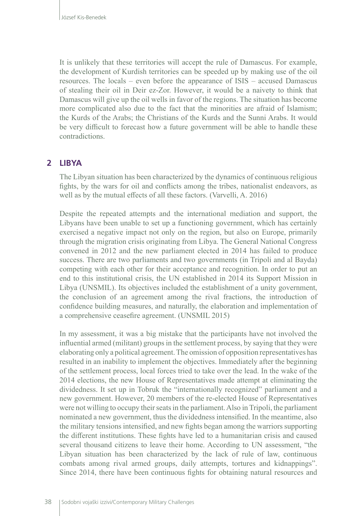It is unlikely that these territories will accept the rule of Damascus. For example, the development of Kurdish territories can be speeded up by making use of the oil resources. The locals – even before the appearance of ISIS – accused Damascus of stealing their oil in Deir ez-Zor. However, it would be a naivety to think that Damascus will give up the oil wells in favor of the regions. The situation has become more complicated also due to the fact that the minorities are afraid of Islamism; the Kurds of the Arabs; the Christians of the Kurds and the Sunni Arabs. It would be very difficult to forecast how a future government will be able to handle these contradictions.

### **2 LIBYA**

The Libyan situation has been characterized by the dynamics of continuous religious fights, by the wars for oil and conflicts among the tribes, nationalist endeavors, as well as by the mutual effects of all these factors. (Varvelli, A. 2016)

Despite the repeated attempts and the international mediation and support, the Libyans have been unable to set up a functioning government, which has certainly exercised a negative impact not only on the region, but also on Europe, primarily through the migration crisis originating from Libya. The General National Congress convened in 2012 and the new parliament elected in 2014 has failed to produce success. There are two parliaments and two governments (in Tripoli and al Bayda) competing with each other for their acceptance and recognition. In order to put an end to this institutional crisis, the UN established in 2014 its Support Mission in Libya (UNSMIL). Its objectives included the establishment of a unity government, the conclusion of an agreement among the rival fractions, the introduction of confidence building measures, and naturally, the elaboration and implementation of a comprehensive ceasefire agreement. (UNSMIL 2015)

In my assessment, it was a big mistake that the participants have not involved the influential armed (militant) groups in the settlement process, by saying that they were elaborating only a political agreement. The omission of opposition representatives has resulted in an inability to implement the objectives. Immediately after the beginning of the settlement process, local forces tried to take over the lead. In the wake of the 2014 elections, the new House of Representatives made attempt at eliminating the dividedness. It set up in Tobruk the "internationally recognized" parliament and a new government. However, 20 members of the re-elected House of Representatives were not willing to occupy their seats in the parliament. Also in Tripoli, the parliament nominated a new government, thus the dividedness intensified. In the meantime, also the military tensions intensified, and new fights began among the warriors supporting the different institutions. These fights have led to a humanitarian crisis and caused several thousand citizens to leave their home. According to UN assessment, "the Libyan situation has been characterized by the lack of rule of law, continuous combats among rival armed groups, daily attempts, tortures and kidnappings". Since 2014, there have been continuous fights for obtaining natural resources and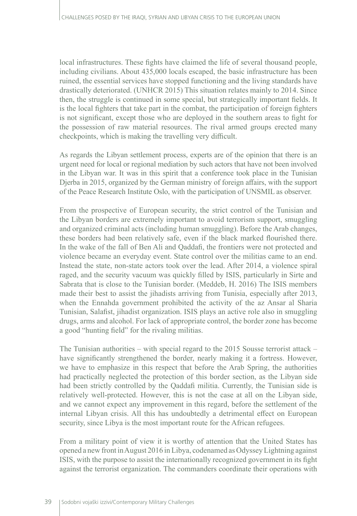local infrastructures. These fights have claimed the life of several thousand people, including civilians. About 435,000 locals escaped, the basic infrastructure has been ruined, the essential services have stopped functioning and the living standards have drastically deteriorated. (UNHCR 2015) This situation relates mainly to 2014. Since then, the struggle is continued in some special, but strategically important fields. It is the local fighters that take part in the combat, the participation of foreign fighters is not significant, except those who are deployed in the southern areas to fight for the possession of raw material resources. The rival armed groups erected many checkpoints, which is making the travelling very difficult.

As regards the Libyan settlement process, experts are of the opinion that there is an urgent need for local or regional mediation by such actors that have not been involved in the Libyan war. It was in this spirit that a conference took place in the Tunisian Djerba in 2015, organized by the German ministry of foreign affairs, with the support of the Peace Research Institute Oslo, with the participation of UNSMIL as observer.

From the prospective of European security, the strict control of the Tunisian and the Libyan borders are extremely important to avoid terrorism support, smuggling and organized criminal acts (including human smuggling). Before the Arab changes, these borders had been relatively safe, even if the black marked flourished there. In the wake of the fall of Ben Ali and Qaddafi, the frontiers were not protected and violence became an everyday event. State control over the militias came to an end. Instead the state, non-state actors took over the lead. After 2014, a violence spiral raged, and the security vacuum was quickly filled by ISIS, particularly in Sirte and Sabrata that is close to the Tunisian border. (Meddeb, H. 2016) The ISIS members made their best to assist the jihadists arriving from Tunisia, especially after 2013, when the Ennahda government prohibited the activity of the az Ansar al Sharia Tunisian, Salafist, jihadist organization. ISIS plays an active role also in smuggling drugs, arms and alcohol. For lack of appropriate control, the border zone has become a good "hunting field" for the rivaling militias.

The Tunisian authorities – with special regard to the 2015 Sousse terrorist attack – have significantly strengthened the border, nearly making it a fortress. However, we have to emphasize in this respect that before the Arab Spring, the authorities had practically neglected the protection of this border section, as the Libyan side had been strictly controlled by the Qaddafi militia. Currently, the Tunisian side is relatively well-protected. However, this is not the case at all on the Libyan side, and we cannot expect any improvement in this regard, before the settlement of the internal Libyan crisis. All this has undoubtedly a detrimental effect on European security, since Libya is the most important route for the African refugees.

From a military point of view it is worthy of attention that the United States has opened a new front in August 2016 in Libya, codenamed as Odyssey Lightning against ISIS, with the purpose to assist the internationally recognized government in its fight against the terrorist organization. The commanders coordinate their operations with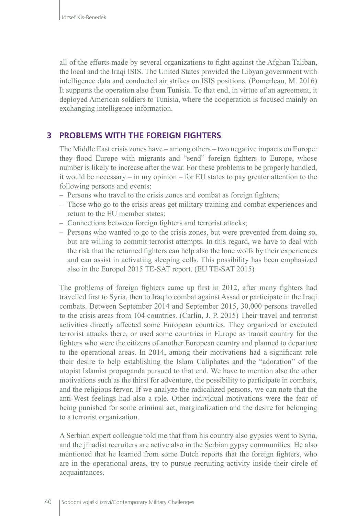all of the efforts made by several organizations to fight against the Afghan Taliban, the local and the Iraqi ISIS. The United States provided the Libyan government with intelligence data and conducted air strikes on ISIS positions. (Pomerleau, M. 2016) It supports the operation also from Tunisia. To that end, in virtue of an agreement, it deployed American soldiers to Tunisia, where the cooperation is focused mainly on exchanging intelligence information.

### **3 PROBLEMS WITH THE FOREIGN FIGHTERS**

The Middle East crisis zones have – among others – two negative impacts on Europe: they flood Europe with migrants and "send" foreign fighters to Europe, whose number is likely to increase after the war. For these problems to be properly handled, it would be necessary – in my opinion – for EU states to pay greater attention to the following persons and events:

- Persons who travel to the crisis zones and combat as foreign fighters;
- Those who go to the crisis areas get military training and combat experiences and return to the EU member states;
- Connections between foreign fighters and terrorist attacks;
- Persons who wanted to go to the crisis zones, but were prevented from doing so, but are willing to commit terrorist attempts. In this regard, we have to deal with the risk that the returned fighters can help also the lone wolfs by their experiences and can assist in activating sleeping cells. This possibility has been emphasized also in the Europol 2015 TE-SAT report. (EU TE-SAT 2015)

The problems of foreign fighters came up first in 2012, after many fighters had travelled first to Syria, then to Iraq to combat against Assad or participate in the Iraqi combats. Between September 2014 and September 2015, 30,000 persons travelled to the crisis areas from 104 countries. (Carlin, J. P. 2015) Their travel and terrorist activities directly affected some European countries. They organized or executed terrorist attacks there, or used some countries in Europe as transit country for the fighters who were the citizens of another European country and planned to departure to the operational areas. In 2014, among their motivations had a significant role their desire to help establishing the Islam Caliphates and the "adoration" of the utopist Islamist propaganda pursued to that end. We have to mention also the other motivations such as the thirst for adventure, the possibility to participate in combats, and the religious fervor. If we analyze the radicalized persons, we can note that the anti-West feelings had also a role. Other individual motivations were the fear of being punished for some criminal act, marginalization and the desire for belonging to a terrorist organization.

A Serbian expert colleague told me that from his country also gypsies went to Syria, and the jihadist recruiters are active also in the Serbian gypsy communities. He also mentioned that he learned from some Dutch reports that the foreign fighters, who are in the operational areas, try to pursue recruiting activity inside their circle of acquaintances.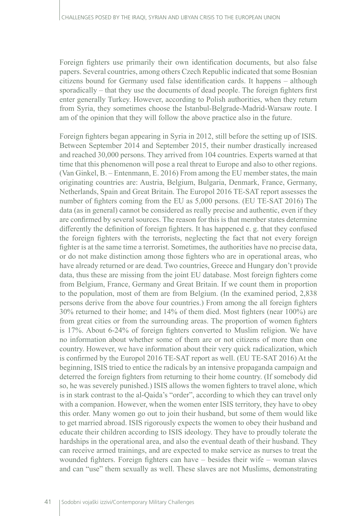Foreign fighters use primarily their own identification documents, but also false papers. Several countries, among others Czech Republic indicated that some Bosnian citizens bound for Germany used false identification cards. It happens – although sporadically – that they use the documents of dead people. The foreign fighters first enter generally Turkey. However, according to Polish authorities, when they return from Syria, they sometimes choose the Istanbul-Belgrade-Madrid-Warsaw route. I am of the opinion that they will follow the above practice also in the future.

Foreign fighters began appearing in Syria in 2012, still before the setting up of ISIS. Between September 2014 and September 2015, their number drastically increased and reached 30,000 persons. They arrived from 104 countries. Experts warned at that time that this phenomenon will pose a real threat to Europe and also to other regions. (Van Ginkel, B. – Entenmann, E. 2016) From among the EU member states, the main originating countries are: Austria, Belgium, Bulgaria, Denmark, France, Germany, Netherlands, Spain and Great Britain. The Europol 2016 TE-SAT report assesses the number of fighters coming from the EU as 5,000 persons. (EU TE-SAT 2016) The data (as in general) cannot be considered as really precise and authentic, even if they are confirmed by several sources. The reason for this is that member states determine differently the definition of foreign fighters. It has happened e. g. that they confused the foreign fighters with the terrorists, neglecting the fact that not every foreign fighter is at the same time a terrorist. Sometimes, the authorities have no precise data, or do not make distinction among those fighters who are in operational areas, who have already returned or are dead. Two countries, Greece and Hungary don't provide data, thus these are missing from the joint EU database. Most foreign fighters come from Belgium, France, Germany and Great Britain. If we count them in proportion to the population, most of them are from Belgium. (In the examined period, 2,838 persons derive from the above four countries.) From among the all foreign fighters 30% returned to their home; and 14% of them died. Most fighters (near 100%) are from great cities or from the surrounding areas. The proportion of women fighters is 17%. About 6-24% of foreign fighters converted to Muslim religion. We have no information about whether some of them are or not citizens of more than one country. However, we have information about their very quick radicalization, which is confirmed by the Europol 2016 TE-SAT report as well. (EU TE-SAT 2016) At the beginning, ISIS tried to entice the radicals by an intensive propaganda campaign and deterred the foreign fighters from returning to their home country. (If somebody did so, he was severely punished.) ISIS allows the women fighters to travel alone, which is in stark contrast to the al-Qaida's "order", according to which they can travel only with a companion. However, when the women enter ISIS territory, they have to obey this order. Many women go out to join their husband, but some of them would like to get married abroad. ISIS rigorously expects the women to obey their husband and educate their children according to ISIS ideology. They have to proudly tolerate the hardships in the operational area, and also the eventual death of their husband. They can receive armed trainings, and are expected to make service as nurses to treat the wounded fighters. Foreign fighters can have – besides their wife – woman slaves and can "use" them sexually as well. These slaves are not Muslims, demonstrating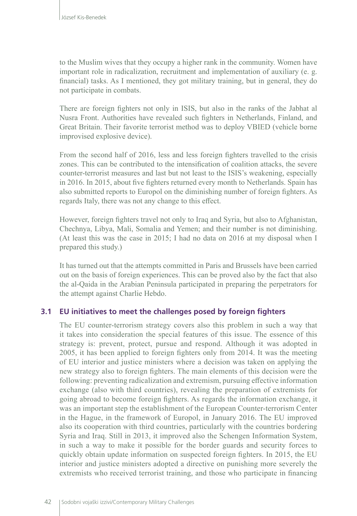to the Muslim wives that they occupy a higher rank in the community. Women have important role in radicalization, recruitment and implementation of auxiliary (e. g. financial) tasks. As I mentioned, they got military training, but in general, they do not participate in combats.

There are foreign fighters not only in ISIS, but also in the ranks of the Jabhat al Nusra Front. Authorities have revealed such fighters in Netherlands, Finland, and Great Britain. Their favorite terrorist method was to deploy VBIED (vehicle borne improvised explosive device).

From the second half of 2016, less and less foreign fighters travelled to the crisis zones. This can be contributed to the intensification of coalition attacks, the severe counter-terrorist measures and last but not least to the ISIS's weakening, especially in 2016. In 2015, about five fighters returned every month to Netherlands. Spain has also submitted reports to Europol on the diminishing number of foreign fighters. As regards Italy, there was not any change to this effect.

However, foreign fighters travel not only to Iraq and Syria, but also to Afghanistan, Chechnya, Libya, Mali, Somalia and Yemen; and their number is not diminishing. (At least this was the case in 2015; I had no data on 2016 at my disposal when I prepared this study.)

It has turned out that the attempts committed in Paris and Brussels have been carried out on the basis of foreign experiences. This can be proved also by the fact that also the al-Qaida in the Arabian Peninsula participated in preparing the perpetrators for the attempt against Charlie Hebdo.

#### **3.1 EU initiatives to meet the challenges posed by foreign fighters**

The EU counter-terrorism strategy covers also this problem in such a way that it takes into consideration the special features of this issue. The essence of this strategy is: prevent, protect, pursue and respond. Although it was adopted in 2005, it has been applied to foreign fighters only from 2014. It was the meeting of EU interior and justice ministers where a decision was taken on applying the new strategy also to foreign fighters. The main elements of this decision were the following: preventing radicalization and extremism, pursuing effective information exchange (also with third countries), revealing the preparation of extremists for going abroad to become foreign fighters. As regards the information exchange, it was an important step the establishment of the European Counter-terrorism Center in the Hague, in the framework of Europol, in January 2016. The EU improved also its cooperation with third countries, particularly with the countries bordering Syria and Iraq. Still in 2013, it improved also the Schengen Information System, in such a way to make it possible for the border guards and security forces to quickly obtain update information on suspected foreign fighters. In 2015, the EU interior and justice ministers adopted a directive on punishing more severely the extremists who received terrorist training, and those who participate in financing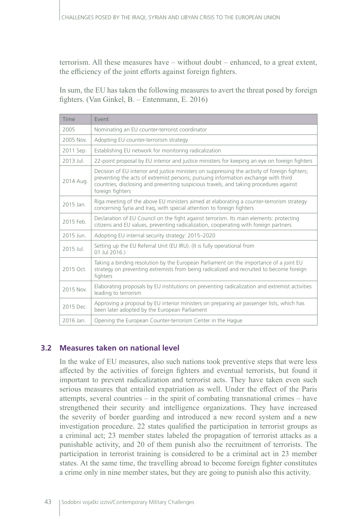terrorism. All these measures have – without doubt – enhanced, to a great extent, the efficiency of the joint efforts against foreign fighters.

In sum, the EU has taken the following measures to avert the threat posed by foreign fighters. (Van Ginkel, B. – Entenmann, E. 2016)

| Time      | Event                                                                                                                                                                                                                                                                                              |
|-----------|----------------------------------------------------------------------------------------------------------------------------------------------------------------------------------------------------------------------------------------------------------------------------------------------------|
| 2005      | Nominating an EU counter-terrorist coordinator                                                                                                                                                                                                                                                     |
| 2005 Nov. | Adopting EU counter-terrorism strategy                                                                                                                                                                                                                                                             |
| 2011 Sep. | Establishing EU network for monitoring radicalization                                                                                                                                                                                                                                              |
| 2013 Jul. | 22-point proposal by EU interior and justice ministers for keeping an eye on foreign fighters                                                                                                                                                                                                      |
| 2014 Aug. | Decision of EU interior and justice ministers on suppressing the activity of foreign fighters;<br>preventing the acts of extremist persons; pursuing information exchange with third<br>countries; disclosing and preventing suspicious travels, and taking procedures against<br>foreign fighters |
| 2015 Jan. | Riga meeting of the above EU ministers aimed at elaborating a counter-terrorism strategy<br>concerning Syria and Iraq, with special attention to foreign fighters                                                                                                                                  |
| 2015 Feb. | Declaration of EU Council on the fight against terrorism. Its main elements: protecting<br>citizens and EU values, preventing radicalization, cooperating with foreign partners                                                                                                                    |
| 2015 Jun. | Adopting EU internal security strategy: 2015-2020                                                                                                                                                                                                                                                  |
| 2015 Jul. | Setting up the EU Referral Unit (EU IRU). (It is fully operational from<br>01 Jul 2016.)                                                                                                                                                                                                           |
| 2015 Oct. | Taking a binding resolution by the European Parliament on the importance of a joint EU<br>strategy on preventing extremists from being radicalized and recruited to become foreign<br>fighters                                                                                                     |
| 2015 Nov. | Elaborating proposals by EU institutions on preventing radicalization and extremist activities<br>leading to terrorism                                                                                                                                                                             |
| 2015 Dec. | Approving a proposal by EU interior ministers on preparing air passenger lists, which has<br>been later adopted by the European Parliament                                                                                                                                                         |
| 2016 Jan. | Opening the European Counter-terrorism Center in the Hague                                                                                                                                                                                                                                         |

#### **3.2 Measures taken on national level**

In the wake of EU measures, also such nations took preventive steps that were less affected by the activities of foreign fighters and eventual terrorists, but found it important to prevent radicalization and terrorist acts. They have taken even such serious measures that entailed expatriation as well. Under the effect of the Paris attempts, several countries – in the spirit of combating transnational crimes – have strengthened their security and intelligence organizations. They have increased the severity of border guarding and introduced a new record system and a new investigation procedure. 22 states qualified the participation in terrorist groups as a criminal act; 23 member states labeled the propagation of terrorist attacks as a punishable activity, and 20 of them punish also the recruitment of terrorists. The participation in terrorist training is considered to be a criminal act in 23 member states. At the same time, the travelling abroad to become foreign fighter constitutes a crime only in nine member states, but they are going to punish also this activity.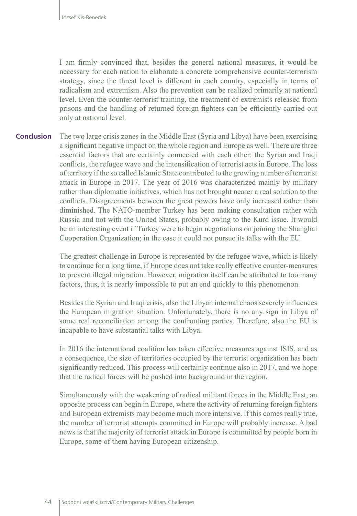I am firmly convinced that, besides the general national measures, it would be necessary for each nation to elaborate a concrete comprehensive counter-terrorism strategy, since the threat level is different in each country, especially in terms of radicalism and extremism. Also the prevention can be realized primarily at national level. Even the counter-terrorist training, the treatment of extremists released from prisons and the handling of returned foreign fighters can be efficiently carried out only at national level.

The two large crisis zones in the Middle East (Syria and Libya) have been exercising a significant negative impact on the whole region and Europe as well. There are three essential factors that are certainly connected with each other: the Syrian and Iraqi conflicts, the refugee wave and the intensification of terrorist acts in Europe. The loss of territory if the so called Islamic State contributed to the growing number of terrorist attack in Europe in 2017. The year of 2016 was characterized mainly by military rather than diplomatic initiatives, which has not brought nearer a real solution to the conflicts. Disagreements between the great powers have only increased rather than diminished. The NATO-member Turkey has been making consultation rather with Russia and not with the United States, probably owing to the Kurd issue. It would be an interesting event if Turkey were to begin negotiations on joining the Shanghai Cooperation Organization; in the case it could not pursue its talks with the EU. **Conclusion**

> The greatest challenge in Europe is represented by the refugee wave, which is likely to continue for a long time, if Europe does not take really effective counter-measures to prevent illegal migration. However, migration itself can be attributed to too many factors, thus, it is nearly impossible to put an end quickly to this phenomenon.

> Besides the Syrian and Iraqi crisis, also the Libyan internal chaos severely influences the European migration situation. Unfortunately, there is no any sign in Libya of some real reconciliation among the confronting parties. Therefore, also the EU is incapable to have substantial talks with Libya.

> In 2016 the international coalition has taken effective measures against ISIS, and as a consequence, the size of territories occupied by the terrorist organization has been significantly reduced. This process will certainly continue also in 2017, and we hope that the radical forces will be pushed into background in the region.

> Simultaneously with the weakening of radical militant forces in the Middle East, an opposite process can begin in Europe, where the activity of returning foreign fighters and European extremists may become much more intensive. If this comes really true, the number of terrorist attempts committed in Europe will probably increase. A bad news is that the majority of terrorist attack in Europe is committed by people born in Europe, some of them having European citizenship.